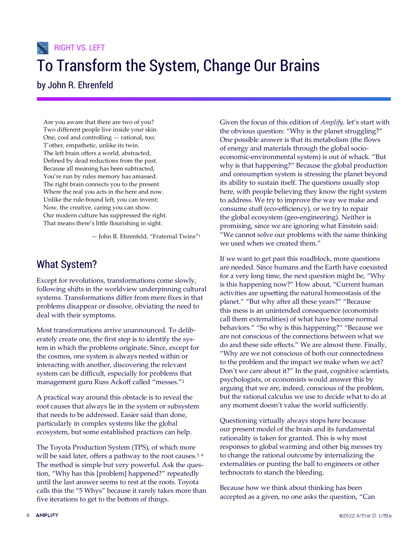# **RIGHT VS. LEFT** To Transform the System, Change Our Brains

by John R. Ehrenfeld

Are you aware that there are two of you? Two different people live inside your skin. One, cool and controlling — rational, too; T'other, empathetic, unlike its twin. The left brain offers a world, abstracted, Defined by dead reductions from the past. Because all meaning has been subtracted, You're run by rules memory has amassed. The right brain connects you to the present Where the real you acts in the here and now. Unlike the rule-bound left, you can invent; Now, the creative, caring you can show. Our modern culture has suppressed the right. That means there's little flourishing in sight.

— John R. Ehrenfeld, "Fraternal Twins"<sup>1</sup>

# What System?

Except for revolutions, transformations come slowly, following shifts in the worldview underpinning cultural systems. Transformations differ from mere fixes in that problems disappear or dissolve, obviating the need to deal with their symptoms.

Most transformations arrive unannounced. To deliberately create one, the first step is to identify the system in which the problems originate. Since, except for the cosmos, one system is always nested within or interacting with another, discovering the relevant system can be difficult, especially for problems that management guru Russ Ackoff called "messes." 2

A practical way around this obstacle is to reveal the root causes that always lie in the system or subsystem that needs to be addressed. Easier said than done, particularly in complex systems like the global ecosystem, but some established practices can help.

The Toyota Production System (TPS), of which more will be said later, offers a pathway to the root causes.<sup>3,4</sup> The method is simple but very powerful. Ask the question, "Why has this [problem] happened?" repeatedly until the last answer seems to rest at the roots. Toyota calls this the "5 Whys" because it rarely takes more than five iterations to get to the bottom of things.

Given the focus of this edition of *Amplify,* let's start with the obvious question: "Why is the planet struggling?" One possible answer is that its metabolism (the flows of energy and materials through the global socioeconomic-environmental system) is out of whack. "But why is that happening?" Because the global production and consumption system is stressing the planet beyond its ability to sustain itself. The questions usually stop here, with people believing they know the right system to address. We try to improve the way we make and consume stuff (eco-efficiency), or we try to repair the global ecosystem (geo-engineering). Neither is promising, since we are ignoring what Einstein said: "We cannot solve our problems with the same thinking we used when we created them."

If we want to get past this roadblock, more questions are needed. Since humans and the Earth have coexisted for a very long time, the next question might be, "Why is this happening now?" How about, "Current human activities are upsetting the natural homeostasis of the planet." "But why after all these years?" "Because this mess is an unintended consequence (economists call them externalities) of what have become normal behaviors." "So why is this happening?" "Because we are not conscious of the connections between what we do and these side effects." We are almost there. Finally, "Why are we not conscious of both our connectedness to the problem and the impact we make when we act? Don't we care about it?" In the past, cognitive scientists, psychologists, or economists would answer this by arguing that we are, indeed, conscious of the problem, but the rational calculus we use to decide what to do at any moment doesn't value the world sufficiently.

Questioning virtually always stops here because our present model of the brain and its fundamental rationality is taken for granted. This is why most responses to global warming and other big messes try to change the rational outcome by internalizing the externalities or punting the ball to engineers or other technocrats to stanch the bleeding.

Because how we think about thinking has been accepted as a given, no one asks the question, "Can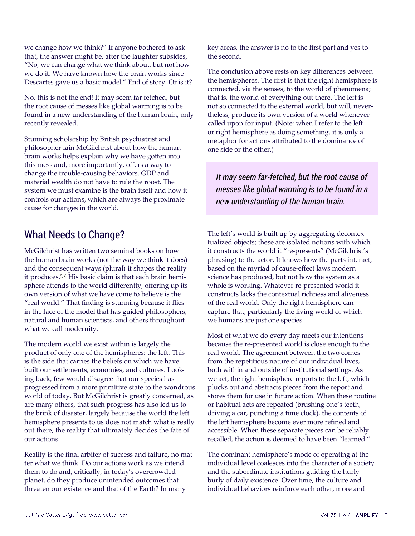we change how we think?" If anyone bothered to ask that, the answer might be, after the laughter subsides, "No, we can change what we think about, but not how we do it. We have known how the brain works since Descartes gave us a basic model." End of story. Or is it?

No, this is not the end! It may seem far-fetched, but the root cause of messes like global warming is to be found in a new understanding of the human brain, only recently revealed.

Stunning scholarship by British psychiatrist and philosopher Iain McGilchrist about how the human brain works helps explain why we have gotten into this mess and, more importantly, offers a way to change the trouble-causing behaviors. GDP and material wealth do not have to rule the roost. The system we must examine is the brain itself and how it controls our actions, which are always the proximate cause for changes in the world.

# What Needs to Change?

McGilchrist has written two seminal books on how the human brain works (not the way we think it does) and the consequent ways (plural) it shapes the reality it produces.5, 6 His basic claim is that each brain hemisphere attends to the world differently, offering up its own version of what we have come to believe is the "real world." That finding is stunning because it flies in the face of the model that has guided philosophers, natural and human scientists, and others throughout what we call modernity.

The modern world we exist within is largely the product of only one of the hemispheres: the left. This is the side that carries the beliefs on which we have built our settlements, economies, and cultures. Looking back, few would disagree that our species has progressed from a more primitive state to the wondrous world of today. But McGilchrist is greatly concerned, as are many others, that such progress has also led us to the brink of disaster, largely because the world the left hemisphere presents to us does not match what is really out there, the reality that ultimately decides the fate of our actions.

Reality is the final arbiter of success and failure, no matter what we think. Do our actions work as we intend them to do and, critically, in today's overcrowded planet, do they produce unintended outcomes that threaten our existence and that of the Earth? In many

key areas, the answer is no to the first part and yes to the second.

The conclusion above rests on key differences between the hemispheres. The first is that the right hemisphere is connected, via the senses, to the world of phenomena; that is, the world of everything out there. The left is not so connected to the external world, but will, nevertheless, produce its own version of a world whenever called upon for input. (Note: when I refer to the left or right hemisphere as doing something, it is only a metaphor for actions attributed to the dominance of one side or the other.)

*It may seem far-fetched, but the root cause of messes like global warming is to be found in a new understanding of the human brain.*

The left's world is built up by aggregating decontextualized objects; these are isolated notions with which it constructs the world it "re-presents" (McGilchrist's phrasing) to the actor. It knows how the parts interact, based on the myriad of cause-effect laws modern science has produced, but not how the system as a whole is working. Whatever re-presented world it constructs lacks the contextual richness and aliveness of the real world. Only the right hemisphere can capture that, particularly the living world of which we humans are just one species.

Most of what we do every day meets our intentions because the re-presented world is close enough to the real world. The agreement between the two comes from the repetitious nature of our individual lives, both within and outside of institutional settings. As we act, the right hemisphere reports to the left, which plucks out and abstracts pieces from the report and stores them for use in future action. When these routine or habitual acts are repeated (brushing one's teeth, driving a car, punching a time clock), the contents of the left hemisphere become ever more refined and accessible. When these separate pieces can be reliably recalled, the action is deemed to have been "learned."

The dominant hemisphere's mode of operating at the individual level coalesces into the character of a society and the subordinate institutions guiding the hurlyburly of daily existence. Over time, the culture and individual behaviors reinforce each other, more and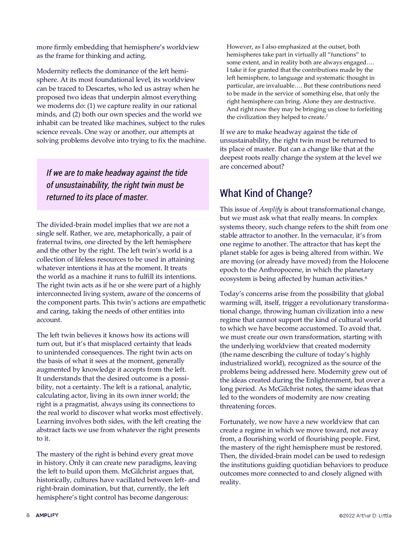more firmly embedding that hemisphere's worldview as the frame for thinking and acting.

Modernity reflects the dominance of the left hemisphere. At its most foundational level, its worldview can be traced to Descartes, who led us astray when he proposed two ideas that underpin almost everything we moderns do: (1) we capture reality in our rational minds, and (2) both our own species and the world we inhabit can be treated like machines, subject to the rules science reveals. One way or another, our attempts at solving problems devolve into trying to fix the machine.

*If we are to make headway against the tide of unsustainability, the right twin must be returned to its place of master.* 

The divided-brain model implies that we are not a single self. Rather, we are, metaphorically, a pair of fraternal twins, one directed by the left hemisphere and the other by the right. The left twin's world is a collection of lifeless resources to be used in attaining whatever intentions it has at the moment. It treats the world as a machine it runs to fulfill its intentions. The right twin acts as if he or she were part of a highly interconnected living system, aware of the concerns of the component parts. This twin's actions are empathetic and caring, taking the needs of other entities into account.

The left twin believes it knows how its actions will turn out, but it's that misplaced certainty that leads to unintended consequences. The right twin acts on the basis of what it sees at the moment, generally augmented by knowledge it accepts from the left. It understands that the desired outcome is a possibility, not a certainty. The left is a rational, analytic, calculating actor, living in its own inner world; the right is a pragmatist, always using its connections to the real world to discover what works most effectively. Learning involves both sides, with the left creating the abstract facts we use from whatever the right presents to it.

The mastery of the right is behind every great move in history. Only it can create new paradigms, leaving the left to build upon them. McGilchrist argues that, historically, cultures have vacillated between left- and right-brain domination, but that, currently, the left hemisphere's tight control has become dangerous:

However, as I also emphasized at the outset, both hemispheres take part in virtually all "functions" to some extent, and in reality both are always engaged…. I take it for granted that the contributions made by the left hemisphere, to language and systematic thought in particular, are invaluable…. But these contributions need to be made in the service of something else, that only the right hemisphere can bring. Alone they are destructive. And right now they may be bringing us close to forfeiting the civilization they helped to create.<sup>7</sup>

If we are to make headway against the tide of unsustainability, the right twin must be returned to its place of master. But can a change like that at the deepest roots really change the system at the level we are concerned about?

# What Kind of Change?

This issue of *Amplify* is about transformational change, but we must ask what that really means. In complex systems theory, such change refers to the shift from one stable attractor to another. In the vernacular, it's from one regime to another. The attractor that has kept the planet stable for ages is being altered from within. We are moving (or already have moved) from the Holocene epoch to the Anthropocene, in which the planetary ecosystem is being affected by human activities.<sup>8</sup>

Today's concerns arise from the possibility that global warming will, itself, trigger a revolutionary transformational change, throwing human civilization into a new regime that cannot support the kind of cultural world to which we have become accustomed. To avoid that, we must create our own transformation, starting with the underlying worldview that created modernity (the name describing the culture of today's highly industrialized world), recognized as the source of the problems being addressed here. Modernity grew out of the ideas created during the Enlightenment, but over a long period. As McGilchrist notes, the same ideas that led to the wonders of modernity are now creating threatening forces.

Fortunately, we now have a new worldview that can create a regime in which we move toward, not away from, a flourishing world of flourishing people. First, the mastery of the right hemisphere must be restored. Then, the divided-brain model can be used to redesign the institutions guiding quotidian behaviors to produce outcomes more connected to and closely aligned with reality.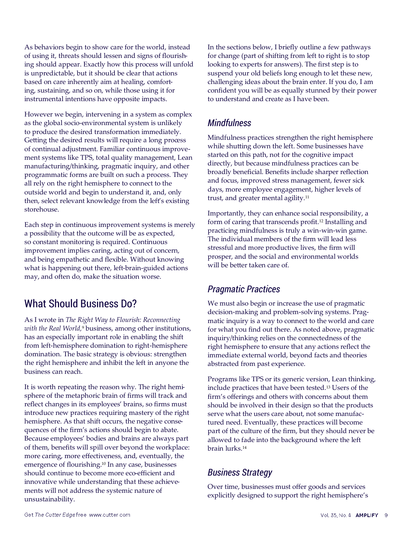As behaviors begin to show care for the world, instead of using it, threats should lessen and signs of flourishing should appear. Exactly how this process will unfold is unpredictable, but it should be clear that actions based on care inherently aim at healing, comforting, sustaining, and so on, while those using it for instrumental intentions have opposite impacts.

However we begin, intervening in a system as complex as the global socio-environmental system is unlikely to produce the desired transformation immediately. Getting the desired results will require a long process of continual adjustment. Familiar continuous improvement systems like TPS, total quality management, Lean manufacturing/thinking, pragmatic inquiry, and other programmatic forms are built on such a process. They all rely on the right hemisphere to connect to the outside world and begin to understand it, and, only then, select relevant knowledge from the left's existing storehouse.

Each step in continuous improvement systems is merely a possibility that the outcome will be as expected, so constant monitoring is required. Continuous improvement implies caring, acting out of concern, and being empathetic and flexible. Without knowing what is happening out there, left-brain-guided actions may, and often do, make the situation worse.

## What Should Business Do?

As I wrote in *The Right Way to Flourish: Reconnecting with the Real World,*<sup>9</sup> business, among other institutions, has an especially important role in enabling the shift from left-hemisphere domination to right-hemisphere domination. The basic strategy is obvious: strengthen the right hemisphere and inhibit the left in anyone the business can reach.

It is worth repeating the reason why. The right hemisphere of the metaphoric brain of firms will track and reflect changes in its employees' brains, so firms must introduce new practices requiring mastery of the right hemisphere. As that shift occurs, the negative consequences of the firm's actions should begin to abate. Because employees' bodies and brains are always part of them, benefits will spill over beyond the workplace: more caring, more effectiveness, and, eventually, the emergence of flourishing.<sup>10</sup> In any case, businesses should continue to become more eco-efficient and innovative while understanding that these achievements will not address the systemic nature of unsustainability.

In the sections below, I briefly outline a few pathways for change (part of shifting from left to right is to stop looking to experts for answers). The first step is to suspend your old beliefs long enough to let these new, challenging ideas about the brain enter. If you do, I am confident you will be as equally stunned by their power to understand and create as I have been.

#### *Mindfulness*

Mindfulness practices strengthen the right hemisphere while shutting down the left. Some businesses have started on this path, not for the cognitive impact directly, but because mindfulness practices can be broadly beneficial. Benefits include sharper reflection and focus, improved stress management, fewer sick days, more employee engagement, higher levels of trust, and greater mental agility.<sup>11</sup>

Importantly, they can enhance social responsibility, a form of caring that transcends profit.<sup>12</sup> Installing and practicing mindfulness is truly a win-win-win game. The individual members of the firm will lead less stressful and more productive lives, the firm will prosper, and the social and environmental worlds will be better taken care of.

### *Pragmatic Practices*

We must also begin or increase the use of pragmatic decision-making and problem-solving systems. Pragmatic inquiry is a way to connect to the world and care for what you find out there. As noted above, pragmatic inquiry/thinking relies on the connectedness of the right hemisphere to ensure that any actions reflect the immediate external world, beyond facts and theories abstracted from past experience.

Programs like TPS or its generic version, Lean thinking, include practices that have been tested.<sup>13</sup> Users of the firm's offerings and others with concerns about them should be involved in their design so that the products serve what the users care about, not some manufactured need. Eventually, these practices will become part of the culture of the firm, but they should never be allowed to fade into the background where the left brain lurks.<sup>14</sup>

#### *Business Strategy*

Over time, businesses must offer goods and services explicitly designed to support the right hemisphere's